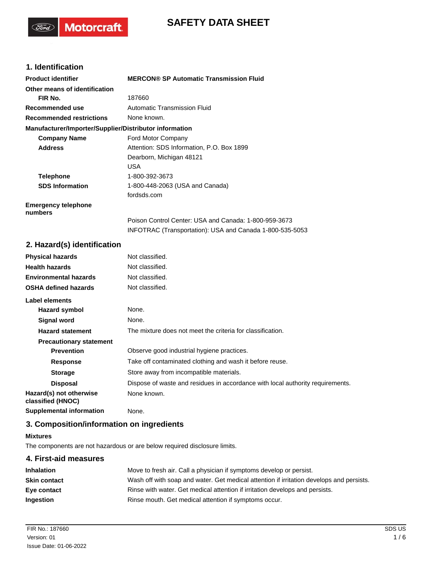# **SAFETY DATA SHEET**

# **1. Identification**

(Tord)

**Motorcraft** 

| <b>Product identifier</b>                              | <b>MERCON® SP Automatic Transmission Fluid</b>           |
|--------------------------------------------------------|----------------------------------------------------------|
| Other means of identification                          |                                                          |
| FIR No.                                                | 187660                                                   |
| Recommended use                                        | Automatic Transmission Fluid                             |
| <b>Recommended restrictions</b>                        | None known.                                              |
| Manufacturer/Importer/Supplier/Distributor information |                                                          |
| <b>Company Name</b>                                    | Ford Motor Company                                       |
| <b>Address</b>                                         | Attention: SDS Information, P.O. Box 1899                |
|                                                        | Dearborn, Michigan 48121                                 |
|                                                        | <b>USA</b>                                               |
| <b>Telephone</b>                                       | 1-800-392-3673                                           |
| <b>SDS Information</b>                                 | 1-800-448-2063 (USA and Canada)                          |
|                                                        | fordsds.com                                              |
| <b>Emergency telephone</b><br>numbers                  |                                                          |
|                                                        | Poison Control Center: USA and Canada: 1-800-959-3673    |
|                                                        | INFOTRAC (Transportation): USA and Canada 1-800-535-5053 |

## **2. Hazard(s) identification**

| <b>Physical hazards</b>                      | Not classified.                                                                |
|----------------------------------------------|--------------------------------------------------------------------------------|
| <b>Health hazards</b>                        | Not classified.                                                                |
| <b>Environmental hazards</b>                 | Not classified.                                                                |
| <b>OSHA defined hazards</b>                  | Not classified.                                                                |
| Label elements                               |                                                                                |
| Hazard symbol                                | None.                                                                          |
| Signal word                                  | None.                                                                          |
| <b>Hazard statement</b>                      | The mixture does not meet the criteria for classification.                     |
| <b>Precautionary statement</b>               |                                                                                |
| <b>Prevention</b>                            | Observe good industrial hygiene practices.                                     |
| <b>Response</b>                              | Take off contaminated clothing and wash it before reuse.                       |
| <b>Storage</b>                               | Store away from incompatible materials.                                        |
| <b>Disposal</b>                              | Dispose of waste and residues in accordance with local authority requirements. |
| Hazard(s) not otherwise<br>classified (HNOC) | None known.                                                                    |
| <b>Supplemental information</b>              | None.                                                                          |

## **3. Composition/information on ingredients**

#### **Mixtures**

The components are not hazardous or are below required disclosure limits.

# **4. First-aid measures Inhalation** Move to fresh air. Call a physician if symptoms develop or persist. **Skin contact** Wash off with soap and water. Get medical attention if irritation develops and persists. **Eye contact Rinse with water. Get medical attention if irritation develops and persists. Ingestion** Rinse mouth. Get medical attention if symptoms occur.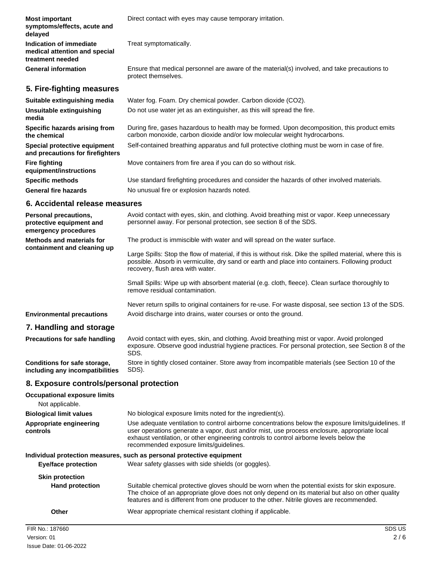| <b>Most important</b><br>symptoms/effects, acute and<br>delayed              | Direct contact with eyes may cause temporary irritation.                                                                                                                  |
|------------------------------------------------------------------------------|---------------------------------------------------------------------------------------------------------------------------------------------------------------------------|
| Indication of immediate<br>medical attention and special<br>treatment needed | Treat symptomatically.                                                                                                                                                    |
| <b>General information</b>                                                   | Ensure that medical personnel are aware of the material(s) involved, and take precautions to<br>protect themselves.                                                       |
| 5. Fire-fighting measures                                                    |                                                                                                                                                                           |
| Suitable extinguishing media                                                 | Water fog. Foam. Dry chemical powder. Carbon dioxide (CO2).                                                                                                               |
| Unsuitable extinguishing<br>media                                            | Do not use water jet as an extinguisher, as this will spread the fire.                                                                                                    |
| Specific hazards arising from<br>the chemical                                | During fire, gases hazardous to health may be formed. Upon decomposition, this product emits<br>carbon monoxide, carbon dioxide and/or low molecular weight hydrocarbons. |
| Special protective equipment<br>and precautions for firefighters             | Self-contained breathing apparatus and full protective clothing must be worn in case of fire.                                                                             |
| <b>Fire fighting</b><br>equipment/instructions                               | Move containers from fire area if you can do so without risk.                                                                                                             |
| <b>Specific methods</b>                                                      | Use standard firefighting procedures and consider the hazards of other involved materials.                                                                                |
| <b>General fire hazards</b>                                                  | No unusual fire or explosion hazards noted.                                                                                                                               |
| 6. Accidental release measures                                               |                                                                                                                                                                           |

| <b>Personal precautions,</b><br>protective equipment and<br>emergency procedures | Avoid contact with eyes, skin, and clothing. Avoid breathing mist or vapor. Keep unnecessary<br>personnel away. For personal protection, see section 8 of the SDS.                                                                                |
|----------------------------------------------------------------------------------|---------------------------------------------------------------------------------------------------------------------------------------------------------------------------------------------------------------------------------------------------|
| Methods and materials for                                                        | The product is immiscible with water and will spread on the water surface.                                                                                                                                                                        |
| containment and cleaning up                                                      | Large Spills: Stop the flow of material, if this is without risk. Dike the spilled material, where this is<br>possible. Absorb in vermiculite, dry sand or earth and place into containers. Following product<br>recovery, flush area with water. |
|                                                                                  | Small Spills: Wipe up with absorbent material (e.g. cloth, fleece). Clean surface thoroughly to<br>remove residual contamination.                                                                                                                 |
| <b>Environmental precautions</b>                                                 | Never return spills to original containers for re-use. For waste disposal, see section 13 of the SDS.<br>Avoid discharge into drains, water courses or onto the ground.                                                                           |
|                                                                                  |                                                                                                                                                                                                                                                   |
| 7. Handling and storage                                                          |                                                                                                                                                                                                                                                   |
| <b>Precautions for safe handling</b>                                             | Avoid contact with eyes, skin, and clothing. Avoid breathing mist or vapor. Avoid prolonged<br>exposure. Observe good industrial hygiene practices. For personal protection, see Section 8 of the<br>SDS.                                         |
| Conditions for safe storage,                                                     | Store in tightly closed container. Store away from incompatible materials (see Section 10 of the                                                                                                                                                  |

**including any incompatibilities**

# **8. Exposure controls/personal protection**

SDS).

| <b>Occupational exposure limits</b><br>Not applicable. |                                                                                                                                                                                                                                                                                                                                            |
|--------------------------------------------------------|--------------------------------------------------------------------------------------------------------------------------------------------------------------------------------------------------------------------------------------------------------------------------------------------------------------------------------------------|
| <b>Biological limit values</b>                         | No biological exposure limits noted for the ingredient(s).                                                                                                                                                                                                                                                                                 |
| Appropriate engineering<br>controls                    | Use adequate ventilation to control airborne concentrations below the exposure limits/quidelines. If<br>user operations generate a vapor, dust and/or mist, use process enclosure, appropriate local<br>exhaust ventilation, or other engineering controls to control airborne levels below the<br>recommended exposure limits/quidelines. |
|                                                        | Individual protection measures, such as personal protective equipment                                                                                                                                                                                                                                                                      |
| <b>Eye/face protection</b>                             | Wear safety glasses with side shields (or goggles).                                                                                                                                                                                                                                                                                        |
| <b>Skin protection</b>                                 |                                                                                                                                                                                                                                                                                                                                            |
| <b>Hand protection</b>                                 | Suitable chemical protective gloves should be worn when the potential exists for skin exposure.<br>The choice of an appropriate glove does not only depend on its material but also on other quality<br>features and is different from one producer to the other. Nitrile gloves are recommended.                                          |
| Other                                                  | Wear appropriate chemical resistant clothing if applicable.                                                                                                                                                                                                                                                                                |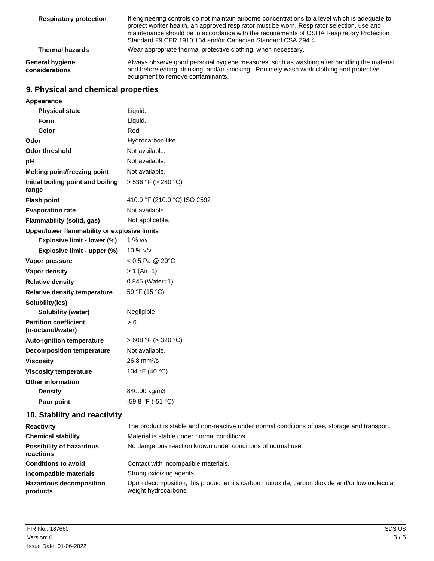| <b>Respiratory protection</b>            | If engineering controls do not maintain airborne concentrations to a level which is adequate to<br>protect worker health, an approved respirator must be worn. Respirator selection, use and<br>maintenance should be in accordance with the requirements of OSHA Respiratory Protection<br>Standard 29 CFR 1910.134 and/or Canadian Standard CSA Z94.4. |
|------------------------------------------|----------------------------------------------------------------------------------------------------------------------------------------------------------------------------------------------------------------------------------------------------------------------------------------------------------------------------------------------------------|
| <b>Thermal hazards</b>                   | Wear appropriate thermal protective clothing, when necessary.                                                                                                                                                                                                                                                                                            |
| <b>General hygiene</b><br>considerations | Always observe good personal hygiene measures, such as washing after handling the material<br>and before eating, drinking, and/or smoking. Routinely wash work clothing and protective<br>equipment to remove contaminants.                                                                                                                              |

# **9. Physical and chemical properties**

| Appearance                                        |                              |
|---------------------------------------------------|------------------------------|
| <b>Physical state</b>                             | Liquid.                      |
| Form                                              | Liquid.                      |
| Color                                             | Red                          |
| Odor                                              | Hydrocarbon-like.            |
| <b>Odor threshold</b>                             | Not available.               |
| pH                                                | Not available.               |
| <b>Melting point/freezing point</b>               | Not available.               |
| Initial boiling point and boiling<br>range        | $> 536 °F$ ( $> 280 °C$ )    |
| <b>Flash point</b>                                | 410.0 °F (210.0 °C) ISO 2592 |
| <b>Evaporation rate</b>                           | Not available.               |
| Flammability (solid, gas)                         | Not applicable.              |
| Upper/lower flammability or explosive limits      |                              |
| Explosive limit - lower (%)                       | $1\%$ v/v                    |
| Explosive limit - upper (%)                       | 10 % $v/v$                   |
| Vapor pressure                                    | $< 0.5$ Pa @ 20 $^{\circ}$ C |
| Vapor density                                     | $> 1$ (Air=1)                |
| <b>Relative density</b>                           | 0.845 (Water=1)              |
| <b>Relative density temperature</b>               | 59 °F (15 °C)                |
| Solubility(ies)                                   |                              |
| <b>Solubility (water)</b>                         | Negligible                   |
| <b>Partition coefficient</b><br>(n-octanol/water) | > 6                          |
| <b>Auto-ignition temperature</b>                  | $>608$ °F ( $>320$ °C)       |
| <b>Decomposition temperature</b>                  | Not available.               |
| <b>Viscosity</b>                                  | $26.8 \text{ mm}^2/\text{s}$ |
| <b>Viscosity temperature</b>                      | 104 °F (40 °C)               |
| <b>Other information</b>                          |                              |
| <b>Density</b>                                    | 840.00 kg/m3                 |
| Pour point                                        | -59.8 °F (-51 °C)            |

# **10. Stability and reactivity**

| <b>Reactivity</b>                            | The product is stable and non-reactive under normal conditions of use, storage and transport.                       |
|----------------------------------------------|---------------------------------------------------------------------------------------------------------------------|
| <b>Chemical stability</b>                    | Material is stable under normal conditions.                                                                         |
| <b>Possibility of hazardous</b><br>reactions | No dangerous reaction known under conditions of normal use.                                                         |
| <b>Conditions to avoid</b>                   | Contact with incompatible materials.                                                                                |
| Incompatible materials                       | Strong oxidizing agents.                                                                                            |
| <b>Hazardous decomposition</b><br>products   | Upon decomposition, this product emits carbon monoxide, carbon dioxide and/or low molecular<br>weight hydrocarbons. |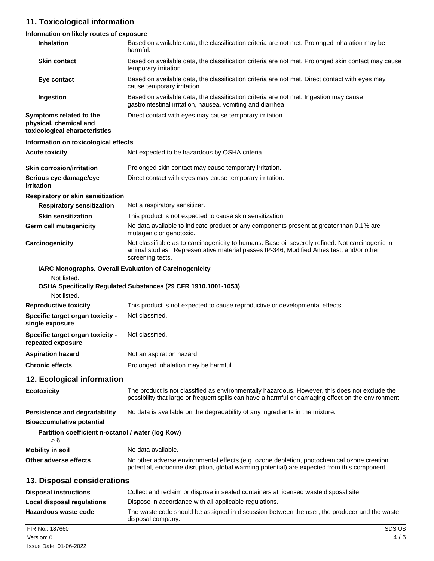# **11. Toxicological information**

## **Information on likely routes of exposure**

| Inhalation                                                                         | Based on available data, the classification criteria are not met. Prolonged inhalation may be<br>harmful.                                                                                                       |
|------------------------------------------------------------------------------------|-----------------------------------------------------------------------------------------------------------------------------------------------------------------------------------------------------------------|
| <b>Skin contact</b>                                                                | Based on available data, the classification criteria are not met. Prolonged skin contact may cause<br>temporary irritation.                                                                                     |
| Eye contact                                                                        | Based on available data, the classification criteria are not met. Direct contact with eyes may<br>cause temporary irritation.                                                                                   |
| Ingestion                                                                          | Based on available data, the classification criteria are not met. Ingestion may cause<br>gastrointestinal irritation, nausea, vomiting and diarrhea.                                                            |
| Symptoms related to the<br>physical, chemical and<br>toxicological characteristics | Direct contact with eyes may cause temporary irritation.                                                                                                                                                        |
| Information on toxicological effects                                               |                                                                                                                                                                                                                 |
| <b>Acute toxicity</b>                                                              | Not expected to be hazardous by OSHA criteria.                                                                                                                                                                  |
| <b>Skin corrosion/irritation</b>                                                   | Prolonged skin contact may cause temporary irritation.                                                                                                                                                          |
| Serious eye damage/eye<br>irritation                                               | Direct contact with eyes may cause temporary irritation.                                                                                                                                                        |
| Respiratory or skin sensitization                                                  |                                                                                                                                                                                                                 |
| <b>Respiratory sensitization</b>                                                   | Not a respiratory sensitizer.                                                                                                                                                                                   |
| <b>Skin sensitization</b>                                                          | This product is not expected to cause skin sensitization.                                                                                                                                                       |
| <b>Germ cell mutagenicity</b>                                                      | No data available to indicate product or any components present at greater than 0.1% are<br>mutagenic or genotoxic.                                                                                             |
| Carcinogenicity                                                                    | Not classifiable as to carcinogenicity to humans. Base oil severely refined: Not carcinogenic in<br>animal studies. Representative material passes IP-346, Modified Ames test, and/or other<br>screening tests. |
| IARC Monographs. Overall Evaluation of Carcinogenicity                             |                                                                                                                                                                                                                 |
| Not listed.                                                                        |                                                                                                                                                                                                                 |
| Not listed.                                                                        | OSHA Specifically Regulated Substances (29 CFR 1910.1001-1053)                                                                                                                                                  |
| <b>Reproductive toxicity</b>                                                       | This product is not expected to cause reproductive or developmental effects.                                                                                                                                    |
| Specific target organ toxicity -<br>single exposure                                | Not classified.                                                                                                                                                                                                 |
| Specific target organ toxicity -<br>repeated exposure                              | Not classified.                                                                                                                                                                                                 |
| <b>Aspiration hazard</b>                                                           | Not an aspiration hazard.                                                                                                                                                                                       |
| <b>Chronic effects</b>                                                             | Prolonged inhalation may be harmful.                                                                                                                                                                            |
| 12. Ecological information                                                         |                                                                                                                                                                                                                 |
| <b>Ecotoxicity</b>                                                                 | The product is not classified as environmentally hazardous. However, this does not exclude the<br>possibility that large or frequent spills can have a harmful or damaging effect on the environment.           |
| <b>Persistence and degradability</b><br><b>Bioaccumulative potential</b>           | No data is available on the degradability of any ingredients in the mixture.                                                                                                                                    |
| Partition coefficient n-octanol / water (log Kow)<br>> 6                           |                                                                                                                                                                                                                 |
| <b>Mobility in soil</b>                                                            | No data available.                                                                                                                                                                                              |
| Other adverse effects                                                              | No other adverse environmental effects (e.g. ozone depletion, photochemical ozone creation<br>potential, endocrine disruption, global warming potential) are expected from this component.                      |
| 13. Disposal considerations                                                        |                                                                                                                                                                                                                 |
| <b>Disposal instructions</b>                                                       | Collect and reclaim or dispose in sealed containers at licensed waste disposal site.                                                                                                                            |
| <b>Local disposal regulations</b>                                                  | Dispose in accordance with all applicable regulations.                                                                                                                                                          |
| Hazardous waste code                                                               | The waste code should be assigned in discussion between the user, the producer and the waste<br>disposal company.                                                                                               |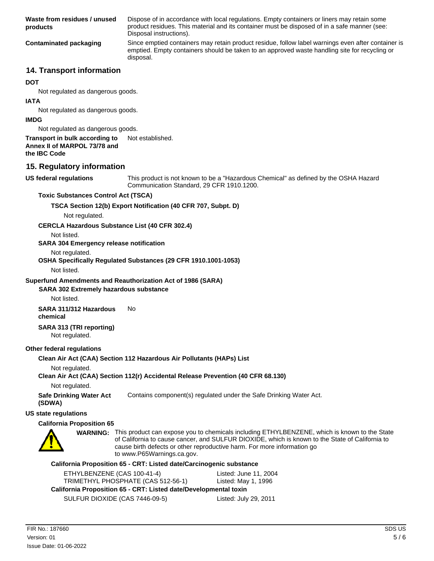Dispose of in accordance with local regulations. Empty containers or liners may retain some product residues. This material and its container must be disposed of in a safe manner (see: Disposal instructions). **Waste from residues / unused products** Since emptied containers may retain product residue, follow label warnings even after container is emptied. Empty containers should be taken to an approved waste handling site for recycling or disposal. **Contaminated packaging**

## **14. Transport information**

#### **DOT**

Not regulated as dangerous goods.

#### **IATA**

Not regulated as dangerous goods.

#### **IMDG**

Not regulated as dangerous goods.

## **Transport in bulk according to** Not established. **Annex II of MARPOL 73/78 and**

**the IBC Code**

## **15. Regulatory information**

**US federal regulations**

This product is not known to be a "Hazardous Chemical" as defined by the OSHA Hazard Communication Standard, 29 CFR 1910.1200.

## **Toxic Substances Control Act (TSCA)**

## **TSCA Section 12(b) Export Notification (40 CFR 707, Subpt. D)**

Not regulated.

#### **CERCLA Hazardous Substance List (40 CFR 302.4)**

Not listed.

#### **SARA 304 Emergency release notification**

Not regulated.

## **OSHA Specifically Regulated Substances (29 CFR 1910.1001-1053)**

Not listed.

#### **Superfund Amendments and Reauthorization Act of 1986 (SARA)**

## **SARA 302 Extremely hazardous substance**

Not listed.

# **SARA 311/312 Hazardous** No

**chemical**

#### **SARA 313 (TRI reporting)** Not regulated.

## **Other federal regulations**

## **Clean Air Act (CAA) Section 112 Hazardous Air Pollutants (HAPs) List**

Not regulated.

## **Clean Air Act (CAA) Section 112(r) Accidental Release Prevention (40 CFR 68.130)**

Not regulated.

**Safe Drinking Water Act** Contains component(s) regulated under the Safe Drinking Water Act. **(SDWA)**

#### **US state regulations**

## **California Proposition 65**



WARNING: This product can expose you to chemicals including ETHYLBENZENE, which is known to the State of California to cause cancer, and SULFUR DIOXIDE, which is known to the State of California to cause birth defects or other reproductive harm. For more information go to www.P65Warnings.ca.gov.

#### **California Proposition 65 - CRT: Listed date/Carcinogenic substance**

| ETHYLBENZENE (CAS 100-41-4)<br>TRIMETHYL PHOSPHATE (CAS 512-56-1) | Listed: June 11, 2004<br>Listed: May 1, 1996 |  |
|-------------------------------------------------------------------|----------------------------------------------|--|
| California Proposition 65 - CRT: Listed date/Developmental toxin  |                                              |  |
| SULFUR DIOXIDE (CAS 7446-09-5)                                    | Listed: July 29, 2011                        |  |